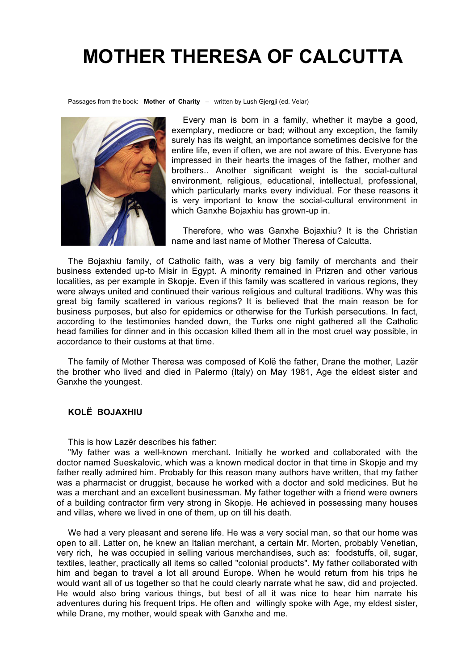# **MOTHER THERESA OF CALCUTTA**

Passages from the book: **Mother of Charity** – written by Lush Gjergji (ed. Velar)



Every man is born in a family, whether it maybe a good, exemplary, mediocre or bad; without any exception, the family surely has its weight, an importance sometimes decisive for the entire life, even if often, we are not aware of this. Everyone has impressed in their hearts the images of the father, mother and brothers.. Another significant weight is the social-cultural environment, religious, educational, intellectual, professional, which particularly marks every individual. For these reasons it is very important to know the social-cultural environment in which Ganxhe Bojaxhiu has grown-up in.

Therefore, who was Ganxhe Bojaxhiu? It is the Christian name and last name of Mother Theresa of Calcutta.

The Bojaxhiu family, of Catholic faith, was a very big family of merchants and their business extended up-to Misir in Egypt. A minority remained in Prizren and other various localities, as per example in Skopje. Even if this family was scattered in various regions, they were always united and continued their various religious and cultural traditions. Why was this great big family scattered in various regions? It is believed that the main reason be for business purposes, but also for epidemics or otherwise for the Turkish persecutions. In fact, according to the testimonies handed down, the Turks one night gathered all the Catholic head families for dinner and in this occasion killed them all in the most cruel way possible, in accordance to their customs at that time.

The family of Mother Theresa was composed of Kolë the father, Drane the mother, Lazër the brother who lived and died in Palermo (Italy) on May 1981, Age the eldest sister and Ganxhe the youngest.

## **KOLË BOJAXHIU**

This is how Lazër describes his father:

"My father was a well-known merchant. Initially he worked and collaborated with the doctor named Sueskalovic, which was a known medical doctor in that time in Skopje and my father really admired him. Probably for this reason many authors have written, that my father was a pharmacist or druggist, because he worked with a doctor and sold medicines. But he was a merchant and an excellent businessman. My father together with a friend were owners of a building contractor firm very strong in Skopje. He achieved in possessing many houses and villas, where we lived in one of them, up on till his death.

We had a very pleasant and serene life. He was a very social man, so that our home was open to all. Latter on, he knew an Italian merchant, a certain Mr. Morten, probably Venetian, very rich, he was occupied in selling various merchandises, such as: foodstuffs, oil, sugar, textiles, leather, practically all items so called "colonial products". My father collaborated with him and began to travel a lot all around Europe. When he would return from his trips he would want all of us together so that he could clearly narrate what he saw, did and projected. He would also bring various things, but best of all it was nice to hear him narrate his adventures during his frequent trips. He often and willingly spoke with Age, my eldest sister, while Drane, my mother, would speak with Ganxhe and me.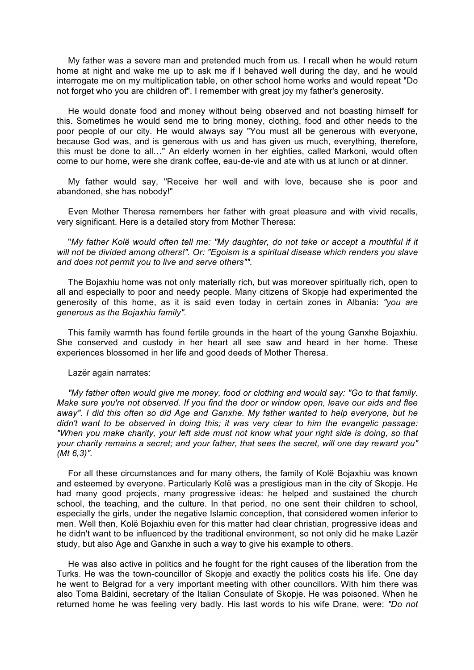My father was a severe man and pretended much from us. I recall when he would return home at night and wake me up to ask me if I behaved well during the day, and he would interrogate me on my multiplication table, on other school home works and would repeat "Do not forget who you are children of". I remember with great joy my father's generosity.

He would donate food and money without being observed and not boasting himself for this. Sometimes he would send me to bring money, clothing, food and other needs to the poor people of our city. He would always say "You must all be generous with everyone, because God was, and is generous with us and has given us much, everything, therefore, this must be done to all…" An elderly women in her eighties, called Markoni, would often come to our home, were she drank coffee, eau-de-vie and ate with us at lunch or at dinner.

My father would say, "Receive her well and with love, because she is poor and abandoned, she has nobody!"

Even Mother Theresa remembers her father with great pleasure and with vivid recalls, very significant. Here is a detailed story from Mother Theresa:

"*My father Kolë would often tell me: "My daughter, do not take or accept a mouthful if it will not be divided among others!". Or: "Egoism is a spiritual disease which renders you slave and does not permit you to live and serve others"".*

The Bojaxhiu home was not only materially rich, but was moreover spiritually rich, open to all and especially to poor and needy people. Many citizens of Skopje had experimented the generosity of this home, as it is said even today in certain zones in Albania: *"you are generous as the Bojaxhiu family".*

This family warmth has found fertile grounds in the heart of the young Ganxhe Bojaxhiu. She conserved and custody in her heart all see saw and heard in her home. These experiences blossomed in her life and good deeds of Mother Theresa.

Lazër again narrates:

*"My father often would give me money, food or clothing and would say: "Go to that family. Make sure you're not observed. If you find the door or window open, leave our aids and flee away". I did this often so did Age and Ganxhe. My father wanted to help everyone, but he didn't want to be observed in doing this; it was very clear to him the evangelic passage: "When you make charity, your left side must not know what your right side is doing, so that your charity remains a secret; and your father, that sees the secret, will one day reward you" (Mt 6,3)".*

For all these circumstances and for many others, the family of Kolë Bojaxhiu was known and esteemed by everyone. Particularly Kolë was a prestigious man in the city of Skopje. He had many good projects, many progressive ideas: he helped and sustained the church school, the teaching, and the culture. In that period, no one sent their children to school, especially the girls, under the negative Islamic conception, that considered women inferior to men. Well then, Kolë Bojaxhiu even for this matter had clear christian, progressive ideas and he didn't want to be influenced by the traditional environment, so not only did he make Lazër study, but also Age and Ganxhe in such a way to give his example to others.

He was also active in politics and he fought for the right causes of the liberation from the Turks. He was the town-councillor of Skopje and exactly the politics costs his life. One day he went to Belgrad for a very important meeting with other councillors. With him there was also Toma Baldini, secretary of the Italian Consulate of Skopje. He was poisoned. When he returned home he was feeling very badly. His last words to his wife Drane, were: *"Do not*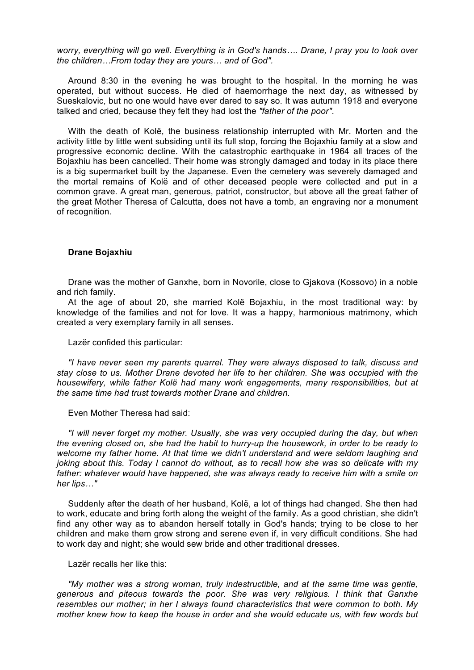*worry, everything will go well. Everything is in God's hands…. Drane, I pray you to look over the children…From today they are yours… and of God".*

Around 8:30 in the evening he was brought to the hospital. In the morning he was operated, but without success. He died of haemorrhage the next day, as witnessed by Sueskalovic, but no one would have ever dared to say so. It was autumn 1918 and everyone talked and cried, because they felt they had lost the *"father of the poor"*.

With the death of Kolë, the business relationship interrupted with Mr. Morten and the activity little by little went subsiding until its full stop, forcing the Bojaxhiu family at a slow and progressive economic decline. With the catastrophic earthquake in 1964 all traces of the Bojaxhiu has been cancelled. Their home was strongly damaged and today in its place there is a big supermarket built by the Japanese. Even the cemetery was severely damaged and the mortal remains of Kolë and of other deceased people were collected and put in a common grave. A great man, generous, patriot, constructor, but above all the great father of the great Mother Theresa of Calcutta, does not have a tomb, an engraving nor a monument of recognition.

#### **Drane Bojaxhiu**

Drane was the mother of Ganxhe, born in Novorile, close to Gjakova (Kossovo) in a noble and rich family.

At the age of about 20, she married Kolë Bojaxhiu, in the most traditional way: by knowledge of the families and not for love. It was a happy, harmonious matrimony, which created a very exemplary family in all senses.

Lazër confided this particular:

*"I have never seen my parents quarrel. They were always disposed to talk, discuss and stay close to us. Mother Drane devoted her life to her children. She was occupied with the housewifery, while father Kolë had many work engagements, many responsibilities, but at the same time had trust towards mother Drane and children.*

Even Mother Theresa had said:

*"I will never forget my mother. Usually, she was very occupied during the day, but when the evening closed on, she had the habit to hurry-up the housework, in order to be ready to welcome my father home. At that time we didn't understand and were seldom laughing and joking about this. Today I cannot do without, as to recall how she was so delicate with my father: whatever would have happened, she was always ready to receive him with a smile on her lips…"*

Suddenly after the death of her husband, Kolë, a lot of things had changed. She then had to work, educate and bring forth along the weight of the family. As a good christian, she didn't find any other way as to abandon herself totally in God's hands; trying to be close to her children and make them grow strong and serene even if, in very difficult conditions. She had to work day and night; she would sew bride and other traditional dresses.

## Lazër recalls her like this:

*"My mother was a strong woman, truly indestructible, and at the same time was gentle, generous and piteous towards the poor. She was very religious. I think that Ganxhe resembles our mother; in her I always found characteristics that were common to both. My mother knew how to keep the house in order and she would educate us, with few words but*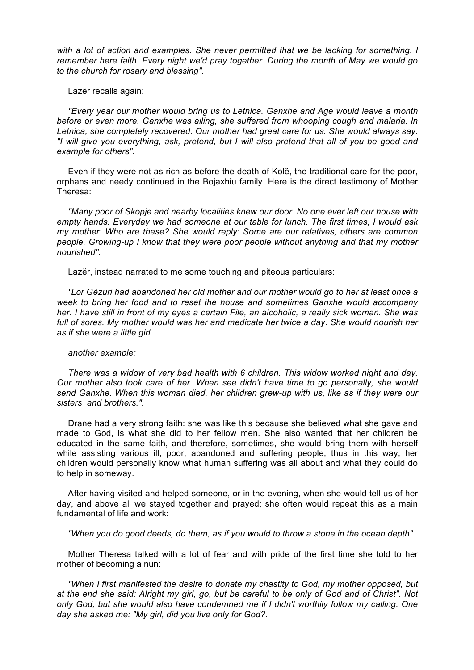*with a lot of action and examples. She never permitted that we be lacking for something. I remember here faith. Every night we'd pray together. During the month of May we would go to the church for rosary and blessing".*

Lazër recalls again:

*"Every year our mother would bring us to Letnica. Ganxhe and Age would leave a month before or even more. Ganxhe was ailing, she suffered from whooping cough and malaria. In Letnica, she completely recovered. Our mother had great care for us. She would always say: "I will give you everything, ask, pretend, but I will also pretend that all of you be good and example for others".*

Even if they were not as rich as before the death of Kolë, the traditional care for the poor, orphans and needy continued in the Bojaxhiu family. Here is the direct testimony of Mother Theresa:

*"Many poor of Skopje and nearby localities knew our door. No one ever left our house with empty hands. Everyday we had someone at our table for lunch. The first times, I would ask my mother: Who are these? She would reply: Some are our relatives, others are common people. Growing-up I know that they were poor people without anything and that my mother nourished".*

Lazër, instead narrated to me some touching and piteous particulars:

*"Lor Gèzuri had abandoned her old mother and our mother would go to her at least once a week to bring her food and to reset the house and sometimes Ganxhe would accompany her. I have still in front of my eyes a certain File, an alcoholic, a really sick woman. She was*  full of sores. My mother would was her and medicate her twice a day. She would nourish her *as if she were a little girl.*

#### *another example:*

*There was a widow of very bad health with 6 children. This widow worked night and day. Our mother also took care of her. When see didn't have time to go personally, she would send Ganxhe. When this woman died, her children grew-up with us, like as if they were our sisters and brothers.".*

Drane had a very strong faith: she was like this because she believed what she gave and made to God, is what she did to her fellow men. She also wanted that her children be educated in the same faith, and therefore, sometimes, she would bring them with herself while assisting various ill, poor, abandoned and suffering people, thus in this way, her children would personally know what human suffering was all about and what they could do to help in someway.

After having visited and helped someone, or in the evening, when she would tell us of her day, and above all we stayed together and prayed; she often would repeat this as a main fundamental of life and work:

*"When you do good deeds, do them, as if you would to throw a stone in the ocean depth".*

Mother Theresa talked with a lot of fear and with pride of the first time she told to her mother of becoming a nun:

*"When I first manifested the desire to donate my chastity to God, my mother opposed, but at the end she said: Alright my girl, go, but be careful to be only of God and of Christ". Not only God, but she would also have condemned me if I didn't worthily follow my calling. One day she asked me: "My girl, did you live only for God?.*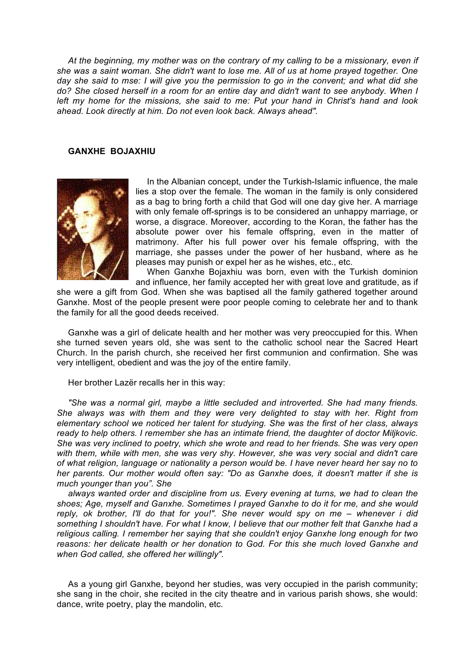*At the beginning, my mother was on the contrary of my calling to be a missionary, even if she was a saint woman. She didn't want to lose me. All of us at home prayed together. One day she said to mse: I will give you the permission to go in the convent; and what did she do? She closed herself in a room for an entire day and didn't want to see anybody. When I left my home for the missions, she said to me: Put your hand in Christ's hand and look ahead. Look directly at him. Do not even look back. Always ahead".*

## **GANXHE BOJAXHIU**



In the Albanian concept, under the Turkish-Islamic influence, the male lies a stop over the female. The woman in the family is only considered as a bag to bring forth a child that God will one day give her. A marriage with only female off-springs is to be considered an unhappy marriage, or worse, a disgrace. Moreover, according to the Koran, the father has the absolute power over his female offspring, even in the matter of matrimony. After his full power over his female offspring, with the marriage, she passes under the power of her husband, where as he pleases may punish or expel her as he wishes, etc., etc.

When Ganxhe Bojaxhiu was born, even with the Turkish dominion and influence, her family accepted her with great love and gratitude, as if

she were a gift from God. When she was baptised all the family gathered together around Ganxhe. Most of the people present were poor people coming to celebrate her and to thank the family for all the good deeds received.

Ganxhe was a girl of delicate health and her mother was very preoccupied for this. When she turned seven years old, she was sent to the catholic school near the Sacred Heart Church. In the parish church, she received her first communion and confirmation. She was very intelligent, obedient and was the joy of the entire family.

Her brother Lazër recalls her in this way:

*"She was a normal girl, maybe a little secluded and introverted. She had many friends. She always was with them and they were very delighted to stay with her. Right from elementary school we noticed her talent for studying. She was the first of her class, always ready to help others. I remember she has an intimate friend, the daughter of doctor Miljkovic. She was very inclined to poetry, which she wrote and read to her friends. She was very open with them, while with men, she was very shy. However, she was very social and didn't care of what religion, language or nationality a person would be. I have never heard her say no to her parents. Our mother would often say: "Do as Ganxhe does, it doesn't matter if she is much younger than you". She* 

*always wanted order and discipline from us. Every evening at turns, we had to clean the shoes; Age, myself and Ganxhe. Sometimes I prayed Ganxhe to do it for me, and she would reply, ok brother, I'll do that for you!". She never would spy on me – whenever i did something I shouldn't have. For what I know, I believe that our mother felt that Ganxhe had a religious calling. I remember her saying that she couldn't enjoy Ganxhe long enough for two reasons: her delicate health or her donation to God. For this she much loved Ganxhe and when God called, she offered her willingly".*

As a young girl Ganxhe, beyond her studies, was very occupied in the parish community; she sang in the choir, she recited in the city theatre and in various parish shows, she would: dance, write poetry, play the mandolin, etc.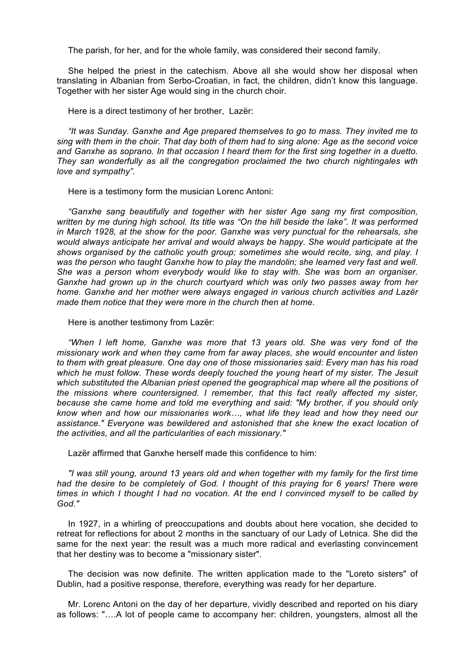The parish, for her, and for the whole family, was considered their second family.

She helped the priest in the catechism. Above all she would show her disposal when translating in Albanian from Serbo-Croatian, in fact, the children, didn't know this language. Together with her sister Age would sing in the church choir.

Here is a direct testimony of her brother, Lazër:

*"It was Sunday. Ganxhe and Age prepared themselves to go to mass. They invited me to sing with them in the choir. That day both of them had to sing alone: Age as the second voice and Ganxhe as soprano. In that occasion I heard them for the first sing together in a duetto. They san wonderfully as all the congregation proclaimed the two church nightingales wth love and sympathy".*

Here is a testimony form the musician Lorenc Antoni:

*"Ganxhe sang beautifully and together with her sister Age sang my first composition, written by me during high school. Its title was "On the hill beside the lake". It was performed in March 1928, at the show for the poor. Ganxhe was very punctual for the rehearsals, she would always anticipate her arrival and would always be happy. She would participate at the shows organised by the catholic youth group; sometimes she would recite, sing, and play. I was the person who taught Ganxhe how to play the mandolin; she learned very fast and well. She was a person whom everybody would like to stay with. She was born an organiser. Ganxhe had grown up in the church courtyard which was only two passes away from her home. Ganxhe and her mother were always engaged in various church activities and Lazër made them notice that they were more in the church then at home.*

Here is another testimony from Lazër:

*"When I left home, Ganxhe was more that 13 years old. She was very fond of the missionary work and when they came from far away places, she would encounter and listen to them with great pleasure. One day one of those missionaries said: Every man has his road which he must follow. These words deeply touched the young heart of my sister. The Jesuit which substituted the Albanian priest opened the geographical map where all the positions of the missions where countersigned. I remember, that this fact really affected my sister, because she came home and told me everything and said: "My brother, if you should only know when and how our missionaries work…, what life they lead and how they need our assistance." Everyone was bewildered and astonished that she knew the exact location of the activities, and all the particularities of each missionary."*

Lazër affirmed that Ganxhe herself made this confidence to him:

*"I was still young, around 13 years old and when together with my family for the first time*  had the desire to be completely of God. I thought of this praying for 6 years! There were *times in which I thought I had no vocation. At the end I convinced myself to be called by God."*

In 1927, in a whirling of preoccupations and doubts about here vocation, she decided to retreat for reflections for about 2 months in the sanctuary of our Lady of Letnica. She did the same for the next year: the result was a much more radical and everlasting convincement that her destiny was to become a "missionary sister".

The decision was now definite. The written application made to the "Loreto sisters" of Dublin, had a positive response, therefore, everything was ready for her departure.

Mr. Lorenc Antoni on the day of her departure, vividly described and reported on his diary as follows: "….A lot of people came to accompany her: children, youngsters, almost all the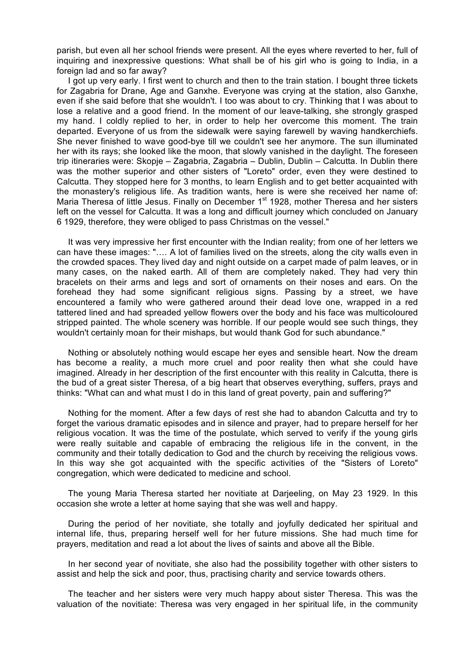parish, but even all her school friends were present. All the eyes where reverted to her, full of inquiring and inexpressive questions: What shall be of his girl who is going to India, in a foreign lad and so far away?

I got up very early. I first went to church and then to the train station. I bought three tickets for Zagabria for Drane, Age and Ganxhe. Everyone was crying at the station, also Ganxhe, even if she said before that she wouldn't. I too was about to cry. Thinking that I was about to lose a relative and a good friend. In the moment of our leave-talking, she strongly grasped my hand. I coldly replied to her, in order to help her overcome this moment. The train departed. Everyone of us from the sidewalk were saying farewell by waving handkerchiefs. She never finished to wave good-bye till we couldn't see her anymore. The sun illuminated her with its rays; she looked like the moon, that slowly vanished in the daylight. The foreseen trip itineraries were: Skopje – Zagabria, Zagabria – Dublin, Dublin – Calcutta. In Dublin there was the mother superior and other sisters of "Loreto" order, even they were destined to Calcutta. They stopped here for 3 months, to learn English and to get better acquainted with the monastery's religious life. As tradition wants, here is were she received her name of: Maria Theresa of little Jesus. Finally on December 1<sup>st</sup> 1928, mother Theresa and her sisters left on the vessel for Calcutta. It was a long and difficult journey which concluded on January 6 1929, therefore, they were obliged to pass Christmas on the vessel."

It was very impressive her first encounter with the Indian reality; from one of her letters we can have these images: "…. A lot of families lived on the streets, along the city walls even in the crowded spaces. They lived day and night outside on a carpet made of palm leaves, or in many cases, on the naked earth. All of them are completely naked. They had very thin bracelets on their arms and legs and sort of ornaments on their noses and ears. On the forehead they had some significant religious signs. Passing by a street, we have encountered a family who were gathered around their dead love one, wrapped in a red tattered lined and had spreaded yellow flowers over the body and his face was multicoloured stripped painted. The whole scenery was horrible. If our people would see such things, they wouldn't certainly moan for their mishaps, but would thank God for such abundance."

Nothing or absolutely nothing would escape her eyes and sensible heart. Now the dream has become a reality, a much more cruel and poor reality then what she could have imagined. Already in her description of the first encounter with this reality in Calcutta, there is the bud of a great sister Theresa, of a big heart that observes everything, suffers, prays and thinks: "What can and what must I do in this land of great poverty, pain and suffering?"

Nothing for the moment. After a few days of rest she had to abandon Calcutta and try to forget the various dramatic episodes and in silence and prayer, had to prepare herself for her religious vocation. It was the time of the postulate, which served to verify if the young girls were really suitable and capable of embracing the religious life in the convent, in the community and their totally dedication to God and the church by receiving the religious vows. In this way she got acquainted with the specific activities of the "Sisters of Loreto" congregation, which were dedicated to medicine and school.

The young Maria Theresa started her novitiate at Darjeeling, on May 23 1929. In this occasion she wrote a letter at home saying that she was well and happy.

During the period of her novitiate, she totally and joyfully dedicated her spiritual and internal life, thus, preparing herself well for her future missions. She had much time for prayers, meditation and read a lot about the lives of saints and above all the Bible.

In her second year of novitiate, she also had the possibility together with other sisters to assist and help the sick and poor, thus, practising charity and service towards others.

The teacher and her sisters were very much happy about sister Theresa. This was the valuation of the novitiate: Theresa was very engaged in her spiritual life, in the community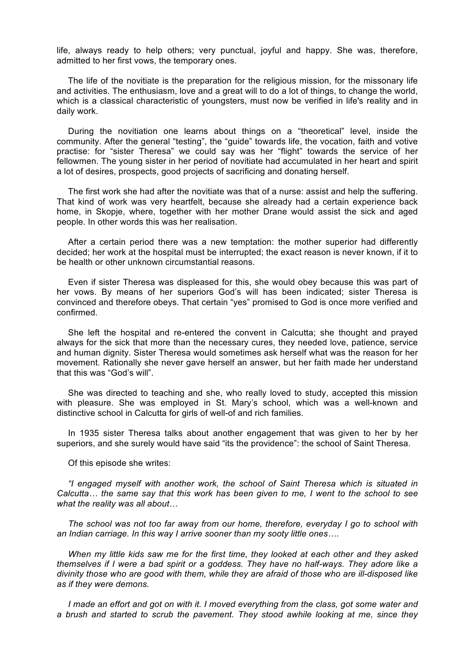life, always ready to help others; very punctual, joyful and happy. She was, therefore, admitted to her first vows, the temporary ones.

The life of the novitiate is the preparation for the religious mission, for the missonary life and activities. The enthusiasm, love and a great will to do a lot of things, to change the world, which is a classical characteristic of youngsters, must now be verified in life's reality and in daily work.

During the novitiation one learns about things on a "theoretical" level, inside the community. After the general "testing", the "guide" towards life, the vocation, faith and votive practise: for "sister Theresa" we could say was her "flight" towards the service of her fellowmen. The young sister in her period of novitiate had accumulated in her heart and spirit a lot of desires, prospects, good projects of sacrificing and donating herself.

The first work she had after the novitiate was that of a nurse: assist and help the suffering. That kind of work was very heartfelt, because she already had a certain experience back home, in Skopje, where, together with her mother Drane would assist the sick and aged people. In other words this was her realisation.

After a certain period there was a new temptation: the mother superior had differently decided; her work at the hospital must be interrupted; the exact reason is never known, if it to be health or other unknown circumstantial reasons.

Even if sister Theresa was displeased for this, she would obey because this was part of her vows. By means of her superiors God's will has been indicated; sister Theresa is convinced and therefore obeys. That certain "yes" promised to God is once more verified and confirmed.

She left the hospital and re-entered the convent in Calcutta; she thought and prayed always for the sick that more than the necessary cures, they needed love, patience, service and human dignity. Sister Theresa would sometimes ask herself what was the reason for her movement. Rationally she never gave herself an answer, but her faith made her understand that this was "God's will".

She was directed to teaching and she, who really loved to study, accepted this mission with pleasure. She was employed in St. Mary's school, which was a well-known and distinctive school in Calcutta for girls of well-of and rich families.

In 1935 sister Theresa talks about another engagement that was given to her by her superiors, and she surely would have said "its the providence": the school of Saint Theresa.

Of this episode she writes:

*"I engaged myself with another work, the school of Saint Theresa which is situated in Calcutta… the same say that this work has been given to me, I went to the school to see what the reality was all about…*

*The school was not too far away from our home, therefore, everyday I go to school with an Indian carriage. In this way I arrive sooner than my sooty little ones….*

*When my little kids saw me for the first time, they looked at each other and they asked themselves if I were a bad spirit or a goddess. They have no half-ways. They adore like a divinity those who are good with them, while they are afraid of those who are ill-disposed like as if they were demons.*

*I* made an effort and got on with it. I moved everything from the class, got some water and *a brush and started to scrub the pavement. They stood awhile looking at me, since they*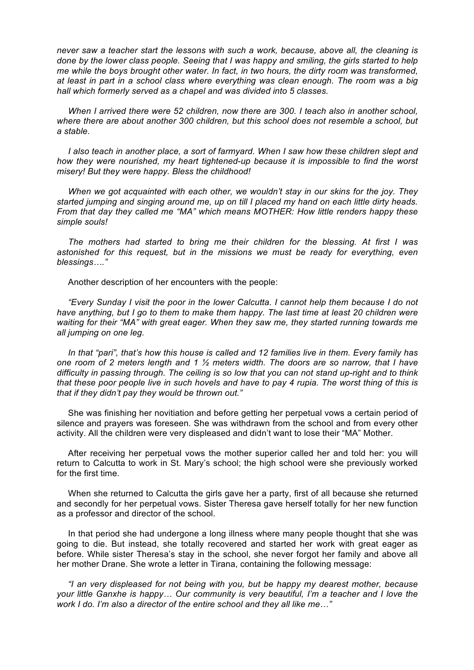*never saw a teacher start the lessons with such a work, because, above all, the cleaning is done by the lower class people. Seeing that I was happy and smiling, the girls started to help me while the boys brought other water. In fact, in two hours, the dirty room was transformed, at least in part in a school class where everything was clean enough. The room was a big hall which formerly served as a chapel and was divided into 5 classes.*

*When I arrived there were 52 children, now there are 300. I teach also in another school, where there are about another 300 children, but this school does not resemble a school, but a stable.*

*I* also teach in another place, a sort of farmyard. When I saw how these children slept and *how they were nourished, my heart tightened-up because it is impossible to find the worst misery! But they were happy. Bless the childhood!*

*When we got acquainted with each other, we wouldn't stay in our skins for the joy. They started jumping and singing around me, up on till I placed my hand on each little dirty heads. From that day they called me "MA" which means MOTHER: How little renders happy these simple souls!*

*The mothers had started to bring me their children for the blessing. At first I was astonished for this request, but in the missions we must be ready for everything, even blessings…."*

Another description of her encounters with the people:

*"Every Sunday I visit the poor in the lower Calcutta. I cannot help them because I do not have anything, but I go to them to make them happy. The last time at least 20 children were waiting for their "MA" with great eager. When they saw me, they started running towards me all jumping on one leg.*

*In that "pari", that's how this house is called and 12 families live in them. Every family has one room of 2 meters length and 1 ½ meters width. The doors are so narrow, that I have difficulty in passing through. The ceiling is so low that you can not stand up-right and to think that these poor people live in such hovels and have to pay 4 rupia. The worst thing of this is that if they didn't pay they would be thrown out."*

She was finishing her novitiation and before getting her perpetual vows a certain period of silence and prayers was foreseen. She was withdrawn from the school and from every other activity. All the children were very displeased and didn't want to lose their "MA" Mother.

After receiving her perpetual vows the mother superior called her and told her: you will return to Calcutta to work in St. Mary's school; the high school were she previously worked for the first time.

When she returned to Calcutta the girls gave her a party, first of all because she returned and secondly for her perpetual vows. Sister Theresa gave herself totally for her new function as a professor and director of the school.

In that period she had undergone a long illness where many people thought that she was going to die. But instead, she totally recovered and started her work with great eager as before. While sister Theresa's stay in the school, she never forgot her family and above all her mother Drane. She wrote a letter in Tirana, containing the following message:

*"I an very displeased for not being with you, but be happy my dearest mother, because your little Ganxhe is happy… Our community is very beautiful, I'm a teacher and I love the work I do. I'm also a director of the entire school and they all like me…"*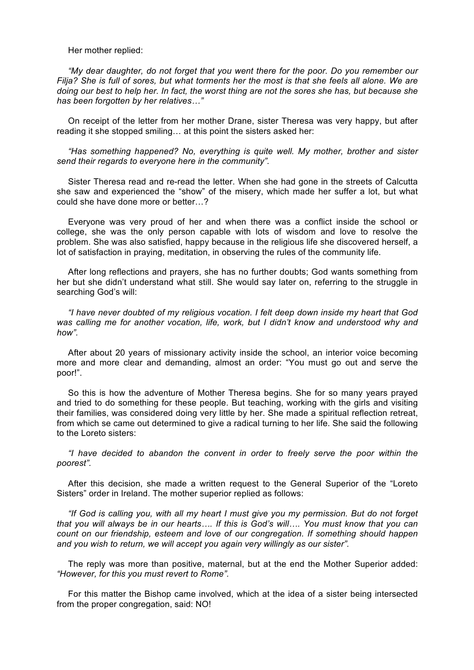Her mother replied:

*"My dear daughter, do not forget that you went there for the poor. Do you remember our Filja? She is full of sores, but what torments her the most is that she feels all alone. We are doing our best to help her. In fact, the worst thing are not the sores she has, but because she has been forgotten by her relatives…"*

On receipt of the letter from her mother Drane, sister Theresa was very happy, but after reading it she stopped smiling… at this point the sisters asked her:

*"Has something happened? No, everything is quite well. My mother, brother and sister send their regards to everyone here in the community".*

Sister Theresa read and re-read the letter. When she had gone in the streets of Calcutta she saw and experienced the "show" of the misery, which made her suffer a lot, but what could she have done more or better…?

Everyone was very proud of her and when there was a conflict inside the school or college, she was the only person capable with lots of wisdom and love to resolve the problem. She was also satisfied, happy because in the religious life she discovered herself, a lot of satisfaction in praying, meditation, in observing the rules of the community life.

After long reflections and prayers, she has no further doubts; God wants something from her but she didn't understand what still. She would say later on, referring to the struggle in searching God's will:

*"I have never doubted of my religious vocation. I felt deep down inside my heart that God was calling me for another vocation, life, work, but I didn't know and understood why and how".*

After about 20 years of missionary activity inside the school, an interior voice becoming more and more clear and demanding, almost an order: "You must go out and serve the poor!".

So this is how the adventure of Mother Theresa begins. She for so many years prayed and tried to do something for these people. But teaching, working with the girls and visiting their families, was considered doing very little by her. She made a spiritual reflection retreat, from which se came out determined to give a radical turning to her life. She said the following to the Loreto sisters:

*"I have decided to abandon the convent in order to freely serve the poor within the poorest".*

After this decision, she made a written request to the General Superior of the "Loreto Sisters" order in Ireland. The mother superior replied as follows:

*"If God is calling you, with all my heart I must give you my permission. But do not forget that you will always be in our hearts…. If this is God's will…. You must know that you can count on our friendship, esteem and love of our congregation. If something should happen and you wish to return, we will accept you again very willingly as our sister".*

The reply was more than positive, maternal, but at the end the Mother Superior added: *"However, for this you must revert to Rome".*

For this matter the Bishop came involved, which at the idea of a sister being intersected from the proper congregation, said: NO!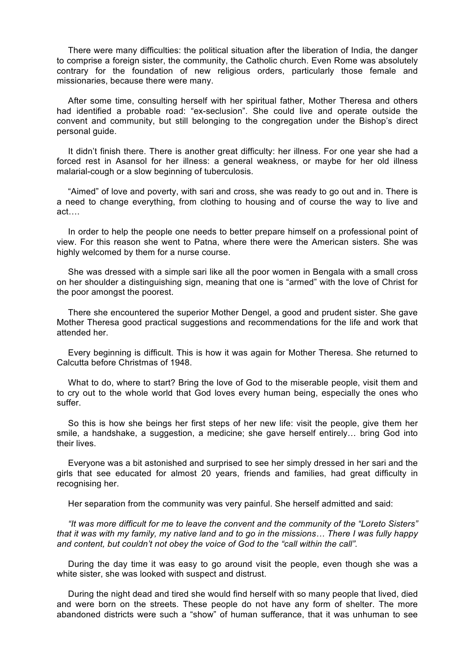There were many difficulties: the political situation after the liberation of India, the danger to comprise a foreign sister, the community, the Catholic church. Even Rome was absolutely contrary for the foundation of new religious orders, particularly those female and missionaries, because there were many.

After some time, consulting herself with her spiritual father, Mother Theresa and others had identified a probable road: "ex-seclusion". She could live and operate outside the convent and community, but still belonging to the congregation under the Bishop's direct personal guide.

It didn't finish there. There is another great difficulty: her illness. For one year she had a forced rest in Asansol for her illness: a general weakness, or maybe for her old illness malarial-cough or a slow beginning of tuberculosis.

"Aimed" of love and poverty, with sari and cross, she was ready to go out and in. There is a need to change everything, from clothing to housing and of course the way to live and act….

In order to help the people one needs to better prepare himself on a professional point of view. For this reason she went to Patna, where there were the American sisters. She was highly welcomed by them for a nurse course.

She was dressed with a simple sari like all the poor women in Bengala with a small cross on her shoulder a distinguishing sign, meaning that one is "armed" with the love of Christ for the poor amongst the poorest.

There she encountered the superior Mother Dengel, a good and prudent sister. She gave Mother Theresa good practical suggestions and recommendations for the life and work that attended her.

Every beginning is difficult. This is how it was again for Mother Theresa. She returned to Calcutta before Christmas of 1948.

What to do, where to start? Bring the love of God to the miserable people, visit them and to cry out to the whole world that God loves every human being, especially the ones who suffer.

So this is how she beings her first steps of her new life: visit the people, give them her smile, a handshake, a suggestion, a medicine; she gave herself entirely… bring God into their lives.

Everyone was a bit astonished and surprised to see her simply dressed in her sari and the girls that see educated for almost 20 years, friends and families, had great difficulty in recognising her.

Her separation from the community was very painful. She herself admitted and said:

*"It was more difficult for me to leave the convent and the community of the "Loreto Sisters" that it was with my family, my native land and to go in the missions… There I was fully happy and content, but couldn't not obey the voice of God to the "call within the call".*

During the day time it was easy to go around visit the people, even though she was a white sister, she was looked with suspect and distrust.

During the night dead and tired she would find herself with so many people that lived, died and were born on the streets. These people do not have any form of shelter. The more abandoned districts were such a "show" of human sufferance, that it was unhuman to see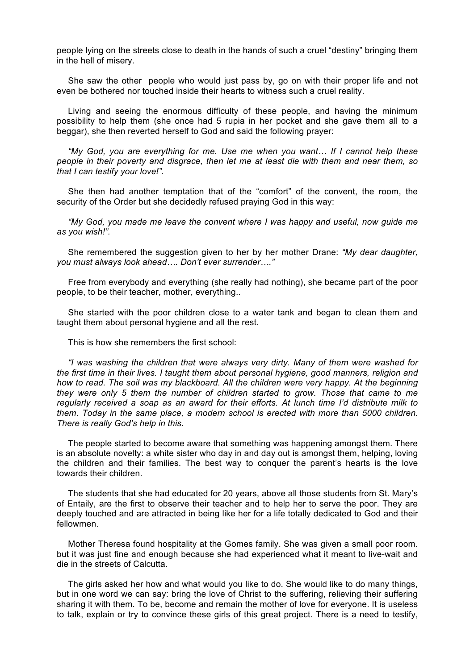people lying on the streets close to death in the hands of such a cruel "destiny" bringing them in the hell of misery.

She saw the other people who would just pass by, go on with their proper life and not even be bothered nor touched inside their hearts to witness such a cruel reality.

Living and seeing the enormous difficulty of these people, and having the minimum possibility to help them (she once had 5 rupia in her pocket and she gave them all to a beggar), she then reverted herself to God and said the following prayer:

*"My God, you are everything for me. Use me when you want… If I cannot help these people in their poverty and disgrace, then let me at least die with them and near them, so that I can testify your love!".*

She then had another temptation that of the "comfort" of the convent, the room, the security of the Order but she decidedly refused praying God in this way:

*"My God, you made me leave the convent where I was happy and useful, now guide me as you wish!".*

She remembered the suggestion given to her by her mother Drane: *"My dear daughter, you must always look ahead…. Don't ever surrender…."*

Free from everybody and everything (she really had nothing), she became part of the poor people, to be their teacher, mother, everything..

She started with the poor children close to a water tank and began to clean them and taught them about personal hygiene and all the rest.

This is how she remembers the first school:

*"I was washing the children that were always very dirty. Many of them were washed for the first time in their lives. I taught them about personal hygiene, good manners, religion and how to read. The soil was my blackboard. All the children were very happy. At the beginning they were only 5 them the number of children started to grow. Those that came to me regularly received a soap as an award for their efforts. At lunch time I'd distribute milk to them. Today in the same place, a modern school is erected with more than 5000 children. There is really God's help in this.*

The people started to become aware that something was happening amongst them. There is an absolute novelty: a white sister who day in and day out is amongst them, helping, loving the children and their families. The best way to conquer the parent's hearts is the love towards their children.

The students that she had educated for 20 years, above all those students from St. Mary's of Entaily, are the first to observe their teacher and to help her to serve the poor. They are deeply touched and are attracted in being like her for a life totally dedicated to God and their fellowmen.

Mother Theresa found hospitality at the Gomes family. She was given a small poor room. but it was just fine and enough because she had experienced what it meant to live-wait and die in the streets of Calcutta.

The girls asked her how and what would you like to do. She would like to do many things, but in one word we can say: bring the love of Christ to the suffering, relieving their suffering sharing it with them. To be, become and remain the mother of love for everyone. It is useless to talk, explain or try to convince these girls of this great project. There is a need to testify,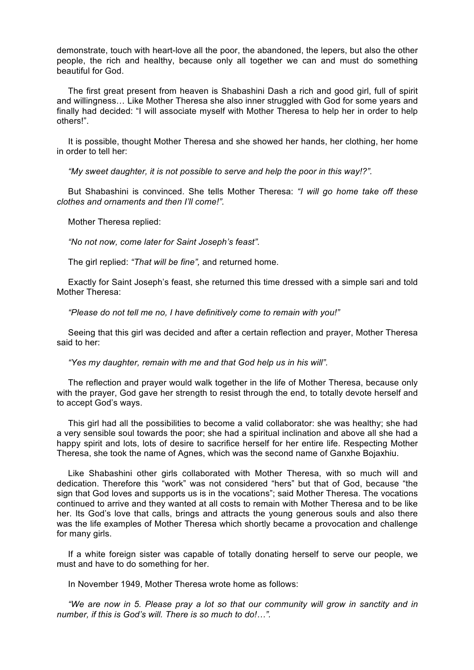demonstrate, touch with heart-love all the poor, the abandoned, the lepers, but also the other people, the rich and healthy, because only all together we can and must do something beautiful for God.

The first great present from heaven is Shabashini Dash a rich and good girl, full of spirit and willingness… Like Mother Theresa she also inner struggled with God for some years and finally had decided: "I will associate myself with Mother Theresa to help her in order to help others!".

It is possible, thought Mother Theresa and she showed her hands, her clothing, her home in order to tell her:

*"My sweet daughter, it is not possible to serve and help the poor in this way!?".*

But Shabashini is convinced. She tells Mother Theresa: *"I will go home take off these clothes and ornaments and then I'll come!".*

Mother Theresa replied:

*"No not now, come later for Saint Joseph's feast".*

The girl replied: *"That will be fine",* and returned home.

Exactly for Saint Joseph's feast, she returned this time dressed with a simple sari and told Mother Theresa:

*"Please do not tell me no, I have definitively come to remain with you!"*

Seeing that this girl was decided and after a certain reflection and prayer, Mother Theresa said to her:

*"Yes my daughter, remain with me and that God help us in his will".*

The reflection and prayer would walk together in the life of Mother Theresa, because only with the prayer. God gave her strength to resist through the end, to totally devote herself and to accept God's ways.

This girl had all the possibilities to become a valid collaborator: she was healthy; she had a very sensible soul towards the poor; she had a spiritual inclination and above all she had a happy spirit and lots, lots of desire to sacrifice herself for her entire life. Respecting Mother Theresa, she took the name of Agnes, which was the second name of Ganxhe Bojaxhiu.

Like Shabashini other girls collaborated with Mother Theresa, with so much will and dedication. Therefore this "work" was not considered "hers" but that of God, because "the sign that God loves and supports us is in the vocations"; said Mother Theresa. The vocations continued to arrive and they wanted at all costs to remain with Mother Theresa and to be like her. Its God's love that calls, brings and attracts the young generous souls and also there was the life examples of Mother Theresa which shortly became a provocation and challenge for many girls.

If a white foreign sister was capable of totally donating herself to serve our people, we must and have to do something for her.

In November 1949, Mother Theresa wrote home as follows:

*"We are now in 5. Please pray a lot so that our community will grow in sanctity and in number, if this is God's will. There is so much to do!…".*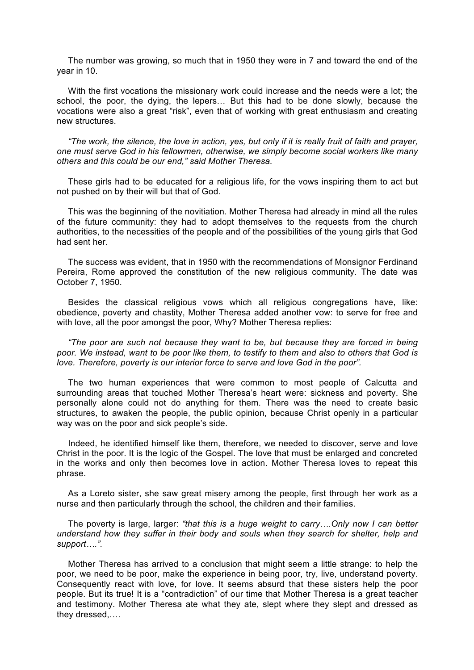The number was growing, so much that in 1950 they were in 7 and toward the end of the year in 10.

With the first vocations the missionary work could increase and the needs were a lot; the school, the poor, the dying, the lepers… But this had to be done slowly, because the vocations were also a great "risk", even that of working with great enthusiasm and creating new structures.

*"The work, the silence, the love in action, yes, but only if it is really fruit of faith and prayer, one must serve God in his fellowmen, otherwise, we simply become social workers like many others and this could be our end," said Mother Theresa.* 

These girls had to be educated for a religious life, for the vows inspiring them to act but not pushed on by their will but that of God.

This was the beginning of the novitiation. Mother Theresa had already in mind all the rules of the future community: they had to adopt themselves to the requests from the church authorities, to the necessities of the people and of the possibilities of the young girls that God had sent her.

The success was evident, that in 1950 with the recommendations of Monsignor Ferdinand Pereira, Rome approved the constitution of the new religious community. The date was October 7, 1950.

Besides the classical religious vows which all religious congregations have, like: obedience, poverty and chastity, Mother Theresa added another vow: to serve for free and with love, all the poor amongst the poor, Why? Mother Theresa replies:

*"The poor are such not because they want to be, but because they are forced in being poor. We instead, want to be poor like them, to testify to them and also to others that God is love. Therefore, poverty is our interior force to serve and love God in the poor".*

The two human experiences that were common to most people of Calcutta and surrounding areas that touched Mother Theresa's heart were: sickness and poverty. She personally alone could not do anything for them. There was the need to create basic structures, to awaken the people, the public opinion, because Christ openly in a particular way was on the poor and sick people's side.

Indeed, he identified himself like them, therefore, we needed to discover, serve and love Christ in the poor. It is the logic of the Gospel. The love that must be enlarged and concreted in the works and only then becomes love in action. Mother Theresa loves to repeat this phrase.

As a Loreto sister, she saw great misery among the people, first through her work as a nurse and then particularly through the school, the children and their families.

The poverty is large, larger: *"that this is a huge weight to carry….Only now I can better understand how they suffer in their body and souls when they search for shelter, help and support….".*

Mother Theresa has arrived to a conclusion that might seem a little strange: to help the poor, we need to be poor, make the experience in being poor, try, live, understand poverty. Consequently react with love, for love. It seems absurd that these sisters help the poor people. But its true! It is a "contradiction" of our time that Mother Theresa is a great teacher and testimony. Mother Theresa ate what they ate, slept where they slept and dressed as they dressed,….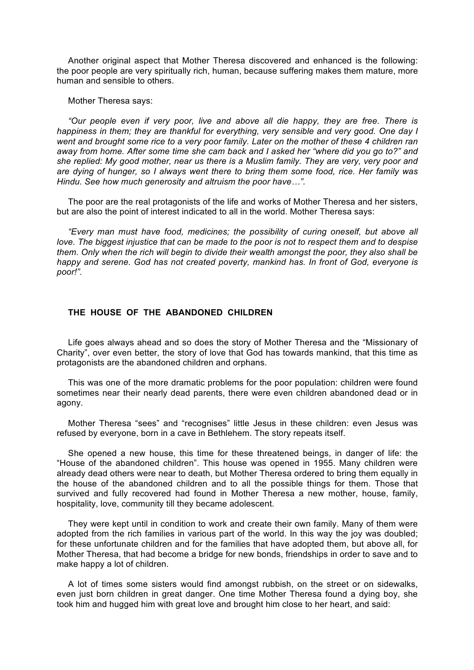Another original aspect that Mother Theresa discovered and enhanced is the following: the poor people are very spiritually rich, human, because suffering makes them mature, more human and sensible to others.

Mother Theresa says:

*"Our people even if very poor, live and above all die happy, they are free. There is happiness in them; they are thankful for everything, very sensible and very good. One day I went and brought some rice to a very poor family. Later on the mother of these 4 children ran away from home. After some time she cam back and I asked her "where did you go to?" and she replied: My good mother, near us there is a Muslim family. They are very, very poor and are dying of hunger, so I always went there to bring them some food, rice. Her family was Hindu. See how much generosity and altruism the poor have…".*

The poor are the real protagonists of the life and works of Mother Theresa and her sisters, but are also the point of interest indicated to all in the world. Mother Theresa says:

*"Every man must have food, medicines; the possibility of curing oneself, but above all love. The biggest injustice that can be made to the poor is not to respect them and to despise them. Only when the rich will begin to divide their wealth amongst the poor, they also shall be happy and serene. God has not created poverty, mankind has. In front of God, everyone is poor!".*

# **THE HOUSE OF THE ABANDONED CHILDREN**

Life goes always ahead and so does the story of Mother Theresa and the "Missionary of Charity", over even better, the story of love that God has towards mankind, that this time as protagonists are the abandoned children and orphans.

This was one of the more dramatic problems for the poor population: children were found sometimes near their nearly dead parents, there were even children abandoned dead or in agony.

Mother Theresa "sees" and "recognises" little Jesus in these children: even Jesus was refused by everyone, born in a cave in Bethlehem. The story repeats itself.

She opened a new house, this time for these threatened beings, in danger of life: the "House of the abandoned children". This house was opened in 1955. Many children were already dead others were near to death, but Mother Theresa ordered to bring them equally in the house of the abandoned children and to all the possible things for them. Those that survived and fully recovered had found in Mother Theresa a new mother, house, family, hospitality, love, community till they became adolescent.

They were kept until in condition to work and create their own family. Many of them were adopted from the rich families in various part of the world. In this way the joy was doubled; for these unfortunate children and for the families that have adopted them, but above all, for Mother Theresa, that had become a bridge for new bonds, friendships in order to save and to make happy a lot of children.

A lot of times some sisters would find amongst rubbish, on the street or on sidewalks, even just born children in great danger. One time Mother Theresa found a dying boy, she took him and hugged him with great love and brought him close to her heart, and said: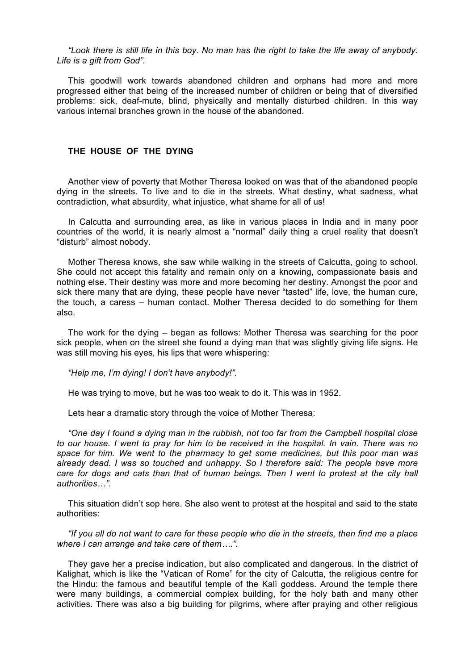*"Look there is still life in this boy. No man has the right to take the life away of anybody. Life is a gift from God".*

This goodwill work towards abandoned children and orphans had more and more progressed either that being of the increased number of children or being that of diversified problems: sick, deaf-mute, blind, physically and mentally disturbed children. In this way various internal branches grown in the house of the abandoned.

## **THE HOUSE OF THE DYING**

Another view of poverty that Mother Theresa looked on was that of the abandoned people dying in the streets. To live and to die in the streets. What destiny, what sadness, what contradiction, what absurdity, what injustice, what shame for all of us!

In Calcutta and surrounding area, as like in various places in India and in many poor countries of the world, it is nearly almost a "normal" daily thing a cruel reality that doesn't "disturb" almost nobody.

Mother Theresa knows, she saw while walking in the streets of Calcutta, going to school. She could not accept this fatality and remain only on a knowing, compassionate basis and nothing else. Their destiny was more and more becoming her destiny. Amongst the poor and sick there many that are dying, these people have never "tasted" life, love, the human cure, the touch, a caress – human contact. Mother Theresa decided to do something for them also.

The work for the dying – began as follows: Mother Theresa was searching for the poor sick people, when on the street she found a dying man that was slightly giving life signs. He was still moving his eyes, his lips that were whispering:

*"Help me, I'm dying! I don't have anybody!".*

He was trying to move, but he was too weak to do it. This was in 1952.

Lets hear a dramatic story through the voice of Mother Theresa:

*"One day I found a dying man in the rubbish, not too far from the Campbell hospital close to our house. I went to pray for him to be received in the hospital. In vain. There was no space for him. We went to the pharmacy to get some medicines, but this poor man was already dead. I was so touched and unhappy. So I therefore said: The people have more care for dogs and cats than that of human beings. Then I went to protest at the city hall authorities…".*

This situation didn't sop here. She also went to protest at the hospital and said to the state authorities:

*"If you all do not want to care for these people who die in the streets, then find me a place where I can arrange and take care of them….".*

They gave her a precise indication, but also complicated and dangerous. In the district of Kalighat, which is like the "Vatican of Rome" for the city of Calcutta, the religious centre for the Hindu: the famous and beautiful temple of the Kalì goddess. Around the temple there were many buildings, a commercial complex building, for the holy bath and many other activities. There was also a big building for pilgrims, where after praying and other religious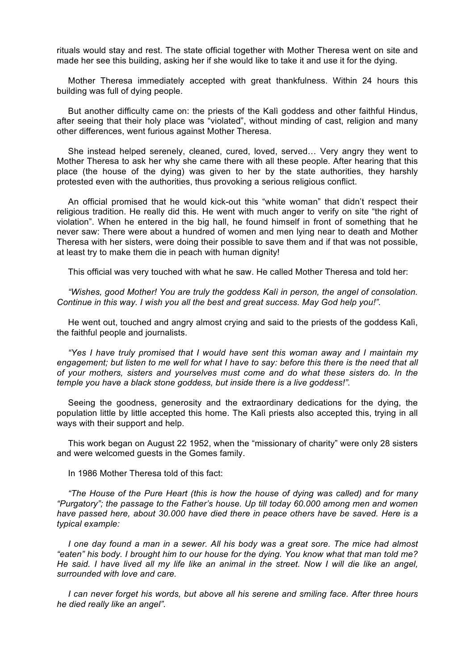rituals would stay and rest. The state official together with Mother Theresa went on site and made her see this building, asking her if she would like to take it and use it for the dying.

Mother Theresa immediately accepted with great thankfulness. Within 24 hours this building was full of dying people.

But another difficulty came on: the priests of the Kalì goddess and other faithful Hindus, after seeing that their holy place was "violated", without minding of cast, religion and many other differences, went furious against Mother Theresa.

She instead helped serenely, cleaned, cured, loved, served… Very angry they went to Mother Theresa to ask her why she came there with all these people. After hearing that this place (the house of the dying) was given to her by the state authorities, they harshly protested even with the authorities, thus provoking a serious religious conflict.

An official promised that he would kick-out this "white woman" that didn't respect their religious tradition. He really did this. He went with much anger to verify on site "the right of violation". When he entered in the big hall, he found himself in front of something that he never saw: There were about a hundred of women and men lying near to death and Mother Theresa with her sisters, were doing their possible to save them and if that was not possible, at least try to make them die in peach with human dignity!

This official was very touched with what he saw. He called Mother Theresa and told her:

*"Wishes, good Mother! You are truly the goddess Kalì in person, the angel of consolation. Continue in this way. I wish you all the best and great success. May God help you!".*

He went out, touched and angry almost crying and said to the priests of the goddess Kalì, the faithful people and journalists.

*"Yes I have truly promised that I would have sent this woman away and I maintain my engagement; but listen to me well for what I have to say: before this there is the need that all of your mothers, sisters and yourselves must come and do what these sisters do. In the temple you have a black stone goddess, but inside there is a live goddess!".*

Seeing the goodness, generosity and the extraordinary dedications for the dying, the population little by little accepted this home. The Kalì priests also accepted this, trying in all ways with their support and help.

This work began on August 22 1952, when the "missionary of charity" were only 28 sisters and were welcomed guests in the Gomes family.

In 1986 Mother Theresa told of this fact:

*"The House of the Pure Heart (this is how the house of dying was called) and for many "Purgatory"; the passage to the Father's house. Up till today 60.000 among men and women have passed here, about 30.000 have died there in peace others have be saved. Here is a typical example:*

*I one day found a man in a sewer. All his body was a great sore. The mice had almost "eaten" his body. I brought him to our house for the dying. You know what that man told me? He said. I have lived all my life like an animal in the street. Now I will die like an angel, surrounded with love and care.*

*I can never forget his words, but above all his serene and smiling face. After three hours he died really like an angel".*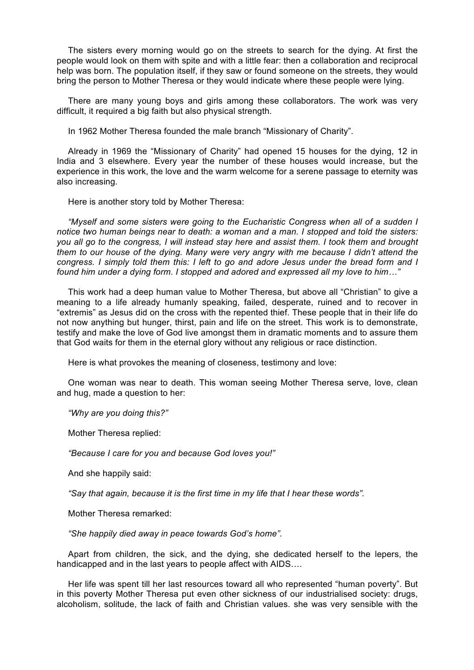The sisters every morning would go on the streets to search for the dying. At first the people would look on them with spite and with a little fear: then a collaboration and reciprocal help was born. The population itself, if they saw or found someone on the streets, they would bring the person to Mother Theresa or they would indicate where these people were lying.

There are many young boys and girls among these collaborators. The work was very difficult, it required a big faith but also physical strength.

In 1962 Mother Theresa founded the male branch "Missionary of Charity".

Already in 1969 the "Missionary of Charity" had opened 15 houses for the dying, 12 in India and 3 elsewhere. Every year the number of these houses would increase, but the experience in this work, the love and the warm welcome for a serene passage to eternity was also increasing.

Here is another story told by Mother Theresa:

*"Myself and some sisters were going to the Eucharistic Congress when all of a sudden I notice two human beings near to death: a woman and a man. I stopped and told the sisters: you all go to the congress, I will instead stay here and assist them. I took them and brought them to our house of the dying. Many were very angry with me because I didn't attend the congress. I simply told them this: I left to go and adore Jesus under the bread form and I found him under a dying form. I stopped and adored and expressed all my love to him…"*

This work had a deep human value to Mother Theresa, but above all "Christian" to give a meaning to a life already humanly speaking, failed, desperate, ruined and to recover in "extremis" as Jesus did on the cross with the repented thief. These people that in their life do not now anything but hunger, thirst, pain and life on the street. This work is to demonstrate, testify and make the love of God live amongst them in dramatic moments and to assure them that God waits for them in the eternal glory without any religious or race distinction.

Here is what provokes the meaning of closeness, testimony and love:

One woman was near to death. This woman seeing Mother Theresa serve, love, clean and hug, made a question to her:

*"Why are you doing this?"*

Mother Theresa replied:

*"Because I care for you and because God loves you!"*

And she happily said:

*"Say that again, because it is the first time in my life that I hear these words".*

Mother Theresa remarked:

*"She happily died away in peace towards God's home".*

Apart from children, the sick, and the dying, she dedicated herself to the lepers, the handicapped and in the last years to people affect with AIDS….

Her life was spent till her last resources toward all who represented "human poverty". But in this poverty Mother Theresa put even other sickness of our industrialised society: drugs, alcoholism, solitude, the lack of faith and Christian values. she was very sensible with the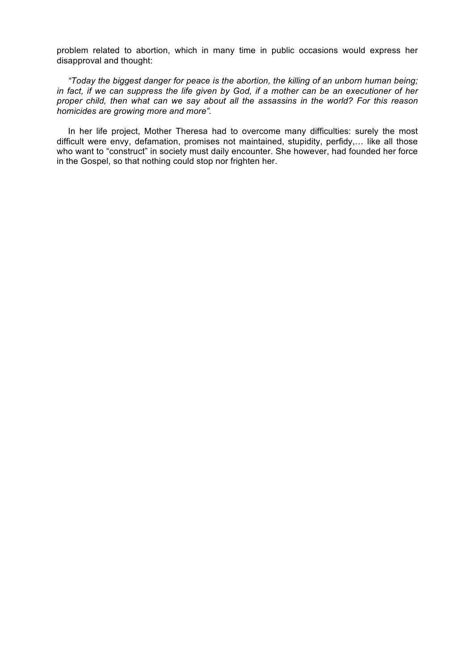problem related to abortion, which in many time in public occasions would express her disapproval and thought:

*"Today the biggest danger for peace is the abortion, the killing of an unborn human being; in fact, if we can suppress the life given by God, if a mother can be an executioner of her proper child, then what can we say about all the assassins in the world? For this reason homicides are growing more and more".*

In her life project, Mother Theresa had to overcome many difficulties: surely the most difficult were envy, defamation, promises not maintained, stupidity, perfidy,… like all those who want to "construct" in society must daily encounter. She however, had founded her force in the Gospel, so that nothing could stop nor frighten her.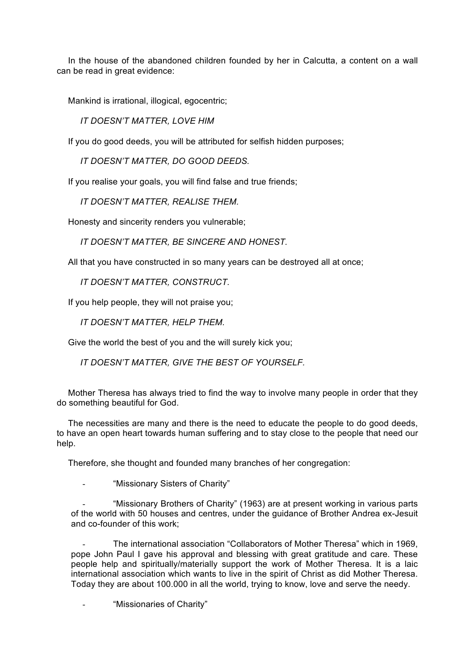In the house of the abandoned children founded by her in Calcutta, a content on a wall can be read in great evidence:

Mankind is irrational, illogical, egocentric;

 *IT DOESN'T MATTER, LOVE HIM*

If you do good deeds, you will be attributed for selfish hidden purposes;

 *IT DOESN'T MATTER, DO GOOD DEEDS.*

If you realise your goals, you will find false and true friends;

 *IT DOESN'T MATTER, REALISE THEM.*

Honesty and sincerity renders you vulnerable;

 *IT DOESN'T MATTER, BE SINCERE AND HONEST.*

All that you have constructed in so many years can be destroyed all at once;

 *IT DOESN'T MATTER, CONSTRUCT.*

If you help people, they will not praise you;

 *IT DOESN'T MATTER, HELP THEM.*

Give the world the best of you and the will surely kick you;

 *IT DOESN'T MATTER, GIVE THE BEST OF YOURSELF.*

Mother Theresa has always tried to find the way to involve many people in order that they do something beautiful for God.

The necessities are many and there is the need to educate the people to do good deeds, to have an open heart towards human suffering and to stay close to the people that need our help.

Therefore, she thought and founded many branches of her congregation:

"Missionary Sisters of Charity"

"Missionary Brothers of Charity" (1963) are at present working in various parts of the world with 50 houses and centres, under the guidance of Brother Andrea ex-Jesuit and co-founder of this work;

The international association "Collaborators of Mother Theresa" which in 1969, pope John Paul I gave his approval and blessing with great gratitude and care. These people help and spiritually/materially support the work of Mother Theresa. It is a laic international association which wants to live in the spirit of Christ as did Mother Theresa. Today they are about 100.000 in all the world, trying to know, love and serve the needy.

"Missionaries of Charity"